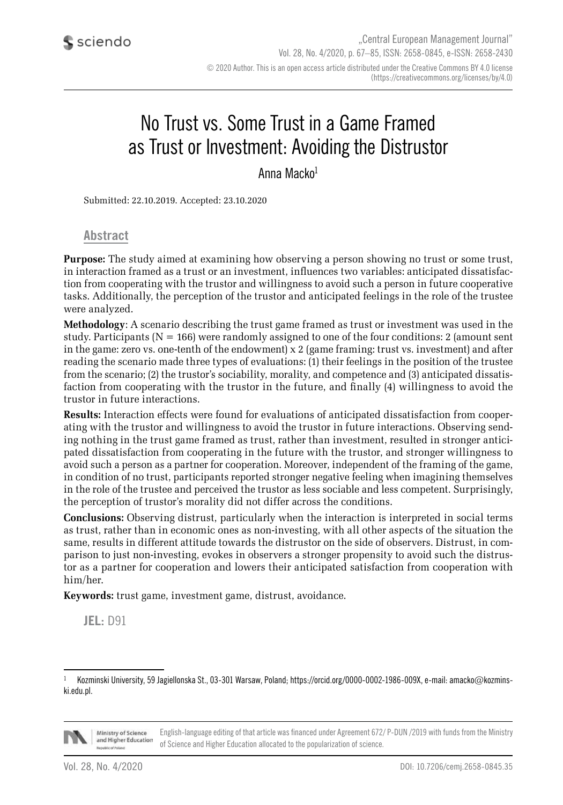# No Trust vs. Some Trust in a Game Framed as Trust or Investment: Avoiding the Distrustor

Anna Macko1

Submitted: 22.10.2019. Accepted: 23.10.2020

**Abstract**

**Purpose:** The study aimed at examining how observing a person showing no trust or some trust, in interaction framed as a trust or an investment, influences two variables: anticipated dissatisfaction from cooperating with the trustor and willingness to avoid such a person in future cooperative tasks. Additionally, the perception of the trustor and anticipated feelings in the role of the trustee were analyzed.

**Methodology**: A scenario describing the trust game framed as trust or investment was used in the study. Participants ( $N = 166$ ) were randomly assigned to one of the four conditions: 2 (amount sent in the game: zero vs. one-tenth of the endowment) x 2 (game framing: trust vs. investment) and after reading the scenario made three types of evaluations: (1) their feelings in the position of the trustee from the scenario; (2) the trustor's sociability, morality, and competence and (3) anticipated dissatisfaction from cooperating with the trustor in the future, and finally (4) willingness to avoid the trustor in future interactions.

**Results:** Interaction effects were found for evaluations of anticipated dissatisfaction from cooperating with the trustor and willingness to avoid the trustor in future interactions. Observing sending nothing in the trust game framed as trust, rather than investment, resulted in stronger anticipated dissatisfaction from cooperating in the future with the trustor, and stronger willingness to avoid such a person as a partner for cooperation. Moreover, independent of the framing of the game, in condition of no trust, participants reported stronger negative feeling when imagining themselves in the role of the trustee and perceived the trustor as less sociable and less competent. Surprisingly, the perception of trustor's morality did not differ across the conditions.

**Conclusions:** Observing distrust, particularly when the interaction is interpreted in social terms as trust, rather than in economic ones as non-investing, with all other aspects of the situation the same, results in different attitude towards the distrustor on the side of observers. Distrust, in comparison to just non-investing, evokes in observers a stronger propensity to avoid such the distrustor as a partner for cooperation and lowers their anticipated satisfaction from cooperation with him/her.

**Keywords:** trust game, investment game, distrust, avoidance.

**JEL:** D91

Kozminski University, 59 Jagiellonska St., 03-301 Warsaw, Poland; https://orcid.org/0000-0002-1986-009X, e-mail: amacko@kozminski.edu.pl.



English-language editing of that article was financed under Agreement 672/ P-DUN /2019 with funds from the Ministry Ministry of Science and Higher Education of Science and Higher Education allocated to the popularization of science.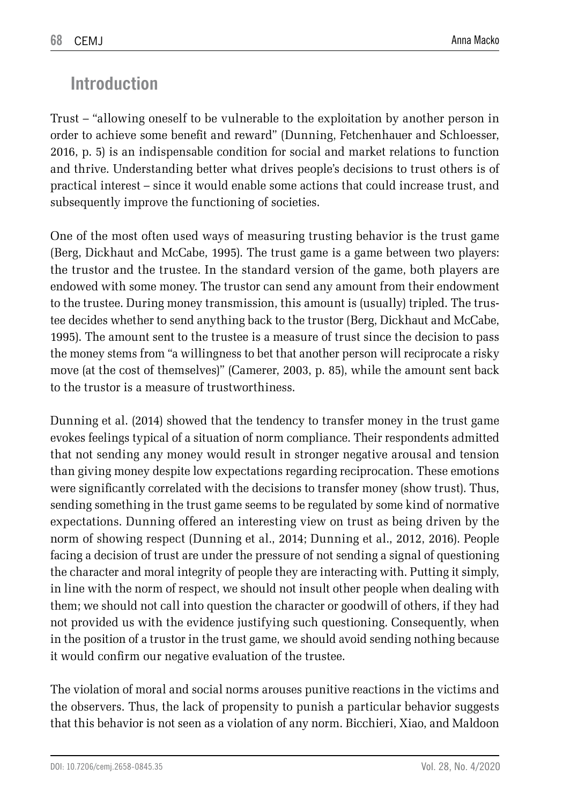# **Introduction**

Trust – "allowing oneself to be vulnerable to the exploitation by another person in order to achieve some benefit and reward" (Dunning, Fetchenhauer and Schloesser, 2016, p. 5) is an indispensable condition for social and market relations to function and thrive. Understanding better what drives people's decisions to trust others is of practical interest – since it would enable some actions that could increase trust, and subsequently improve the functioning of societies.

One of the most often used ways of measuring trusting behavior is the trust game (Berg, Dickhaut and McCabe, 1995). The trust game is a game between two players: the trustor and the trustee. In the standard version of the game, both players are endowed with some money. The trustor can send any amount from their endowment to the trustee. During money transmission, this amount is (usually) tripled. The trustee decides whether to send anything back to the trustor (Berg, Dickhaut and McCabe, 1995). The amount sent to the trustee is a measure of trust since the decision to pass the money stems from "a willingness to bet that another person will reciprocate a risky move (at the cost of themselves)" (Camerer, 2003, p. 85), while the amount sent back to the trustor is a measure of trustworthiness.

Dunning et al. (2014) showed that the tendency to transfer money in the trust game evokes feelings typical of a situation of norm compliance. Their respondents admitted that not sending any money would result in stronger negative arousal and tension than giving money despite low expectations regarding reciprocation. These emotions were significantly correlated with the decisions to transfer money (show trust). Thus, sending something in the trust game seems to be regulated by some kind of normative expectations. Dunning offered an interesting view on trust as being driven by the norm of showing respect (Dunning et al., 2014; Dunning et al., 2012, 2016). People facing a decision of trust are under the pressure of not sending a signal of questioning the character and moral integrity of people they are interacting with. Putting it simply, in line with the norm of respect, we should not insult other people when dealing with them; we should not call into question the character or goodwill of others, if they had not provided us with the evidence justifying such questioning. Consequently, when in the position of a trustor in the trust game, we should avoid sending nothing because it would confirm our negative evaluation of the trustee.

The violation of moral and social norms arouses punitive reactions in the victims and the observers. Thus, the lack of propensity to punish a particular behavior suggests that this behavior is not seen as a violation of any norm. Bicchieri, Xiao, and Maldoon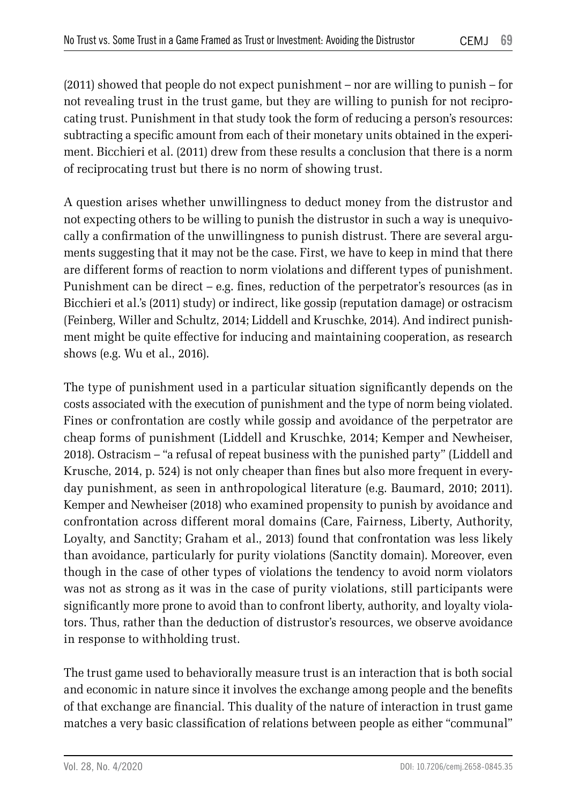(2011) showed that people do not expect punishment – nor are willing to punish – for not revealing trust in the trust game, but they are willing to punish for not reciprocating trust. Punishment in that study took the form of reducing a person's resources: subtracting a specific amount from each of their monetary units obtained in the experiment. Bicchieri et al. (2011) drew from these results a conclusion that there is a norm of reciprocating trust but there is no norm of showing trust.

A question arises whether unwillingness to deduct money from the distrustor and not expecting others to be willing to punish the distrustor in such a way is unequivocally a confirmation of the unwillingness to punish distrust. There are several arguments suggesting that it may not be the case. First, we have to keep in mind that there are different forms of reaction to norm violations and different types of punishment. Punishment can be direct  $-$  e.g. fines, reduction of the perpetrator's resources (as in Bicchieri et al.'s (2011) study) or indirect, like gossip (reputation damage) or ostracism (Feinberg, Willer and Schultz, 2014; Liddell and Kruschke, 2014). And indirect punishment might be quite effective for inducing and maintaining cooperation, as research shows (e.g. Wu et al., 2016).

The type of punishment used in a particular situation significantly depends on the costs associated with the execution of punishment and the type of norm being violated. Fines or confrontation are costly while gossip and avoidance of the perpetrator are cheap forms of punishment (Liddell and Kruschke, 2014; Kemper and Newheiser, 2018). Ostracism – "a refusal of repeat business with the punished party" (Liddell and Krusche, 2014, p. 524) is not only cheaper than fines but also more frequent in everyday punishment, as seen in anthropological literature (e.g. Baumard, 2010; 2011). Kemper and Newheiser (2018) who examined propensity to punish by avoidance and confrontation across different moral domains (Care, Fairness, Liberty, Authority, Loyalty, and Sanctity; Graham et al., 2013) found that confrontation was less likely than avoidance, particularly for purity violations (Sanctity domain). Moreover, even though in the case of other types of violations the tendency to avoid norm violators was not as strong as it was in the case of purity violations, still participants were significantly more prone to avoid than to confront liberty, authority, and loyalty violators. Thus, rather than the deduction of distrustor's resources, we observe avoidance in response to withholding trust.

The trust game used to behaviorally measure trust is an interaction that is both social and economic in nature since it involves the exchange among people and the benefits of that exchange are financial. This duality of the nature of interaction in trust game matches a very basic classification of relations between people as either "communal"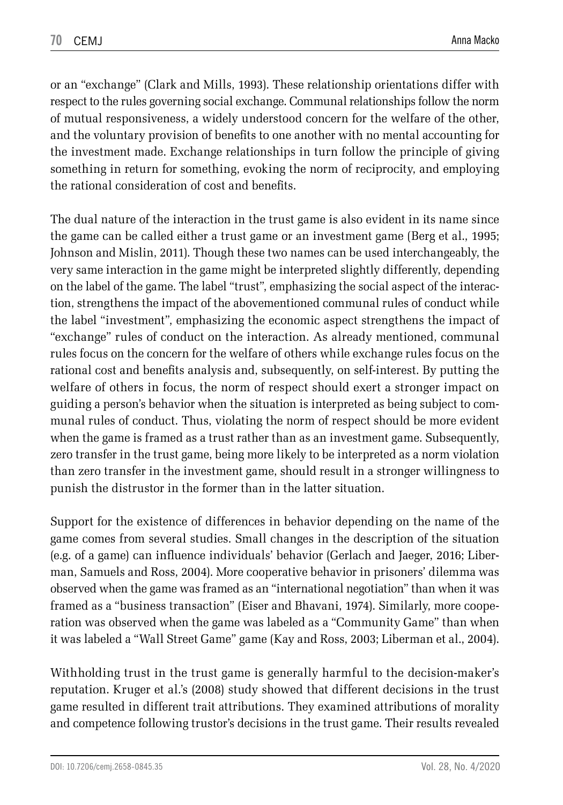or an "exchange" (Clark and Mills, 1993). These relationship orientations differ with respect to the rules governing social exchange. Communal relationships follow the norm of mutual responsiveness, a widely understood concern for the welfare of the other, and the voluntary provision of benefits to one another with no mental accounting for the investment made. Exchange relationships in turn follow the principle of giving something in return for something, evoking the norm of reciprocity, and employing the rational consideration of cost and benefits.

The dual nature of the interaction in the trust game is also evident in its name since the game can be called either a trust game or an investment game (Berg et al., 1995; Johnson and Mislin, 2011). Though these two names can be used interchangeably, the very same interaction in the game might be interpreted slightly differently, depending on the label of the game. The label "trust", emphasizing the social aspect of the interaction, strengthens the impact of the abovementioned communal rules of conduct while the label "investment", emphasizing the economic aspect strengthens the impact of "exchange" rules of conduct on the interaction. As already mentioned, communal rules focus on the concern for the welfare of others while exchange rules focus on the rational cost and benefits analysis and, subsequently, on self-interest. By putting the welfare of others in focus, the norm of respect should exert a stronger impact on guiding a person's behavior when the situation is interpreted as being subject to communal rules of conduct. Thus, violating the norm of respect should be more evident when the game is framed as a trust rather than as an investment game. Subsequently, zero transfer in the trust game, being more likely to be interpreted as a norm violation than zero transfer in the investment game, should result in a stronger willingness to punish the distrustor in the former than in the latter situation.

Support for the existence of differences in behavior depending on the name of the game comes from several studies. Small changes in the description of the situation (e.g. of a game) can influence individuals' behavior (Gerlach and Jaeger, 2016; Liberman, Samuels and Ross, 2004). More cooperative behavior in prisoners' dilemma was observed when the game was framed as an "international negotiation" than when it was framed as a "business transaction" (Eiser and Bhavani, 1974). Similarly, more cooperation was observed when the game was labeled as a "Community Game" than when it was labeled a "Wall Street Game" game (Kay and Ross, 2003; Liberman et al., 2004).

Withholding trust in the trust game is generally harmful to the decision-maker's reputation. Kruger et al.'s (2008) study showed that different decisions in the trust game resulted in different trait attributions. They examined attributions of morality and competence following trustor's decisions in the trust game. Their results revealed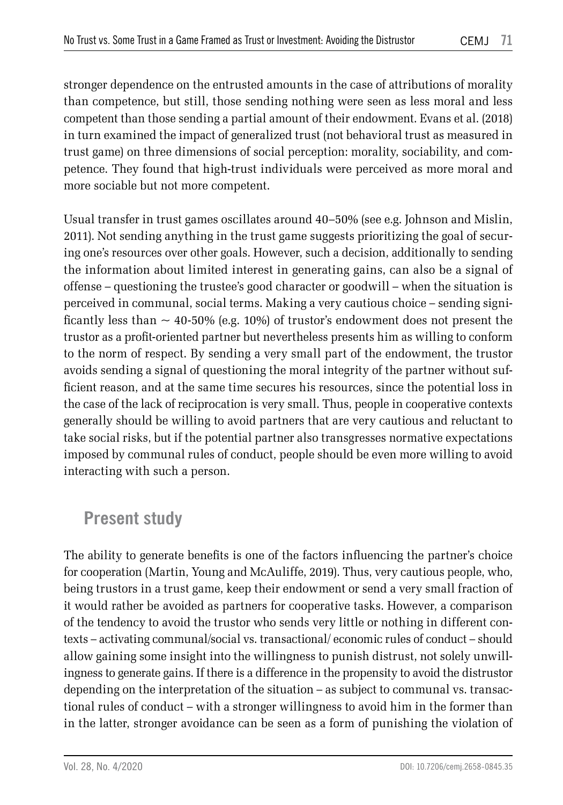stronger dependence on the entrusted amounts in the case of attributions of morality than competence, but still, those sending nothing were seen as less moral and less competent than those sending a partial amount of their endowment. Evans et al. (2018) in turn examined the impact of generalized trust (not behavioral trust as measured in trust game) on three dimensions of social perception: morality, sociability, and competence. They found that high-trust individuals were perceived as more moral and more sociable but not more competent.

Usual transfer in trust games oscillates around 40–50% (see e.g. Johnson and Mislin, 2011). Not sending anything in the trust game suggests prioritizing the goal of securing one's resources over other goals. However, such a decision, additionally to sending the information about limited interest in generating gains, can also be a signal of offense – questioning the trustee's good character or goodwill – when the situation is perceived in communal, social terms. Making a very cautious choice – sending significantly less than  $\sim$  40-50% (e.g. 10%) of trustor's endowment does not present the trustor as a profit-oriented partner but nevertheless presents him as willing to conform to the norm of respect. By sending a very small part of the endowment, the trustor avoids sending a signal of questioning the moral integrity of the partner without sufficient reason, and at the same time secures his resources, since the potential loss in the case of the lack of reciprocation is very small. Thus, people in cooperative contexts generally should be willing to avoid partners that are very cautious and reluctant to take social risks, but if the potential partner also transgresses normative expectations imposed by communal rules of conduct, people should be even more willing to avoid interacting with such a person.

# **Present study**

The ability to generate benefits is one of the factors influencing the partner's choice for cooperation (Martin, Young and McAuliffe, 2019). Thus, very cautious people, who, being trustors in a trust game, keep their endowment or send a very small fraction of it would rather be avoided as partners for cooperative tasks. However, a comparison of the tendency to avoid the trustor who sends very little or nothing in different contexts – activating communal/social vs. transactional/ economic rules of conduct – should allow gaining some insight into the willingness to punish distrust, not solely unwillingness to generate gains. If there is a difference in the propensity to avoid the distrustor depending on the interpretation of the situation – as subject to communal vs. transactional rules of conduct – with a stronger willingness to avoid him in the former than in the latter, stronger avoidance can be seen as a form of punishing the violation of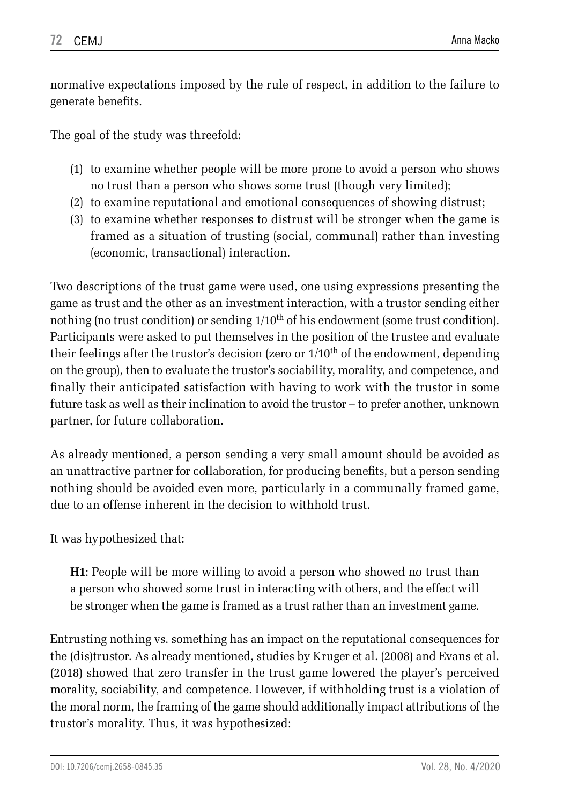normative expectations imposed by the rule of respect, in addition to the failure to generate benefits.

The goal of the study was threefold:

- (1) to examine whether people will be more prone to avoid a person who shows no trust than a person who shows some trust (though very limited);
- (2) to examine reputational and emotional consequences of showing distrust;
- (3) to examine whether responses to distrust will be stronger when the game is framed as a situation of trusting (social, communal) rather than investing (economic, transactional) interaction.

Two descriptions of the trust game were used, one using expressions presenting the game as trust and the other as an investment interaction, with a trustor sending either nothing (no trust condition) or sending 1/10th of his endowment (some trust condition). Participants were asked to put themselves in the position of the trustee and evaluate their feelings after the trustor's decision (zero or  $1/10<sup>th</sup>$  of the endowment, depending on the group), then to evaluate the trustor's sociability, morality, and competence, and finally their anticipated satisfaction with having to work with the trustor in some future task as well as their inclination to avoid the trustor – to prefer another, unknown partner, for future collaboration.

As already mentioned, a person sending a very small amount should be avoided as an unattractive partner for collaboration, for producing benefits, but a person sending nothing should be avoided even more, particularly in a communally framed game, due to an offense inherent in the decision to withhold trust.

It was hypothesized that:

**H1**: People will be more willing to avoid a person who showed no trust than a person who showed some trust in interacting with others, and the effect will be stronger when the game is framed as a trust rather than an investment game.

Entrusting nothing vs. something has an impact on the reputational consequences for the (dis)trustor. As already mentioned, studies by Kruger et al. (2008) and Evans et al. (2018) showed that zero transfer in the trust game lowered the player's perceived morality, sociability, and competence. However, if withholding trust is a violation of the moral norm, the framing of the game should additionally impact attributions of the trustor's morality. Thus, it was hypothesized: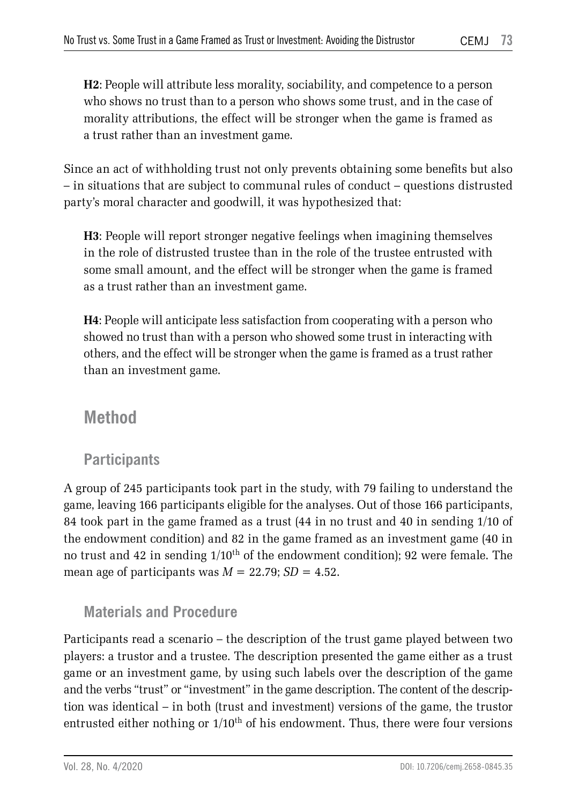**H2**: People will attribute less morality, sociability, and competence to a person who shows no trust than to a person who shows some trust, and in the case of morality attributions, the effect will be stronger when the game is framed as a trust rather than an investment game.

Since an act of withholding trust not only prevents obtaining some benefits but also – in situations that are subject to communal rules of conduct – questions distrusted party's moral character and goodwill, it was hypothesized that:

**H3**: People will report stronger negative feelings when imagining themselves in the role of distrusted trustee than in the role of the trustee entrusted with some small amount, and the effect will be stronger when the game is framed as a trust rather than an investment game.

**H4**: People will anticipate less satisfaction from cooperating with a person who showed no trust than with a person who showed some trust in interacting with others, and the effect will be stronger when the game is framed as a trust rather than an investment game.

## **Method**

### **Participants**

A group of 245 participants took part in the study, with 79 failing to understand the game, leaving 166 participants eligible for the analyses. Out of those 166 participants, 84 took part in the game framed as a trust (44 in no trust and 40 in sending 1/10 of the endowment condition) and 82 in the game framed as an investment game (40 in no trust and 42 in sending  $1/10^{th}$  of the endowment condition); 92 were female. The mean age of participants was  $M = 22.79$ ;  $SD = 4.52$ .

### **Materials and Procedure**

Participants read a scenario – the description of the trust game played between two players: a trustor and a trustee. The description presented the game either as a trust game or an investment game, by using such labels over the description of the game and the verbs "trust" or "investment" in the game description. The content of the description was identical – in both (trust and investment) versions of the game, the trustor entrusted either nothing or  $1/10<sup>th</sup>$  of his endowment. Thus, there were four versions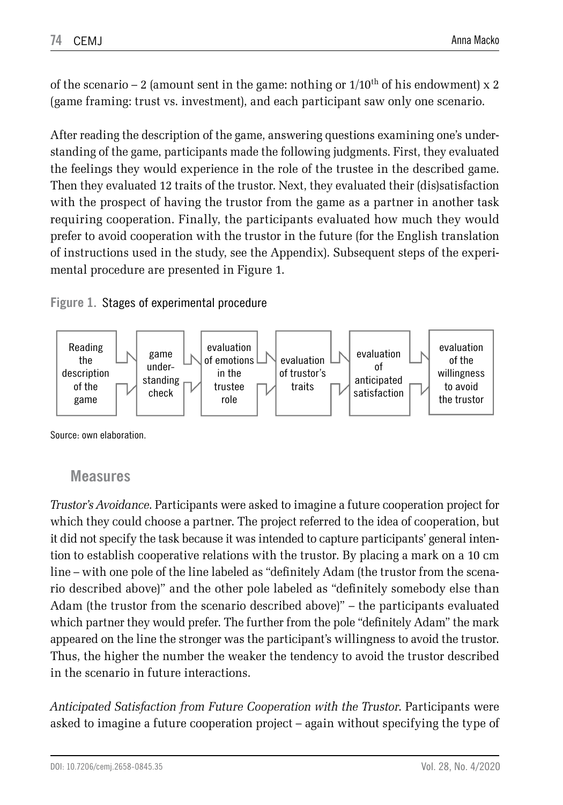of the scenario  $-2$  (amount sent in the game: nothing or  $1/10^{th}$  of his endowment) x 2 (game framing: trust vs. investment), and each participant saw only one scenario.

After reading the description of the game, answering questions examining one's understanding of the game, participants made the following judgments. First, they evaluated the feelings they would experience in the role of the trustee in the described game. Then they evaluated 12 traits of the trustor. Next, they evaluated their (dis)satisfaction with the prospect of having the trustor from the game as a partner in another task requiring cooperation. Finally, the participants evaluated how much they would prefer to avoid cooperation with the trustor in the future (for the English translation of instructions used in the study, see the Appendix). Subsequent steps of the experimental procedure are presented in Figure 1.

### **Figure 1.** Stages of experimental procedure



Source: own elaboration.

### **Measures**

*Trustor's Avoidance*. Participants were asked to imagine a future cooperation project for which they could choose a partner. The project referred to the idea of cooperation, but it did not specify the task because it was intended to capture participants' general intention to establish cooperative relations with the trustor. By placing a mark on a 10 cm line – with one pole of the line labeled as "definitely Adam (the trustor from the scenario described above)" and the other pole labeled as "definitely somebody else than Adam (the trustor from the scenario described above)" – the participants evaluated which partner they would prefer. The further from the pole "definitely Adam" the mark appeared on the line the stronger was the participant's willingness to avoid the trustor. Thus, the higher the number the weaker the tendency to avoid the trustor described in the scenario in future interactions.

*Anticipated Satisfaction from Future Cooperation with the Trustor*. Participants were asked to imagine a future cooperation project – again without specifying the type of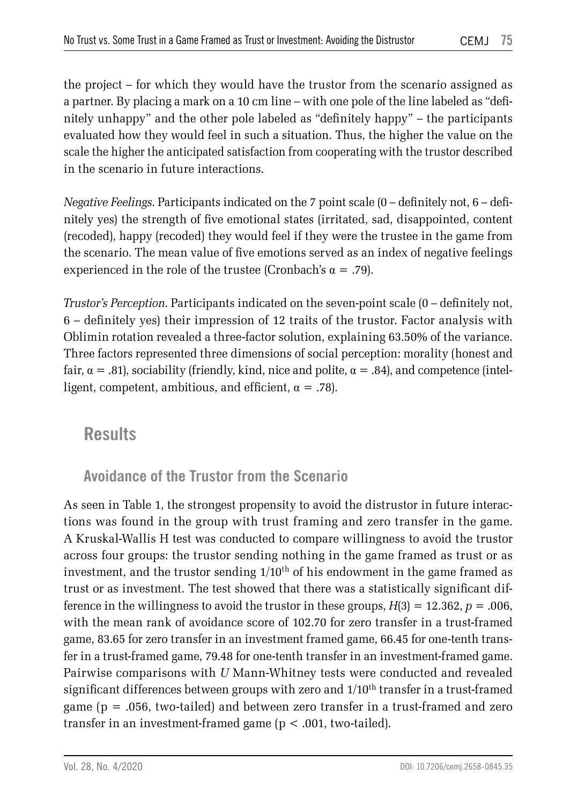the project – for which they would have the trustor from the scenario assigned as a partner. By placing a mark on a 10 cm line – with one pole of the line labeled as "definitely unhappy" and the other pole labeled as "definitely happy" – the participants evaluated how they would feel in such a situation. Thus, the higher the value on the scale the higher the anticipated satisfaction from cooperating with the trustor described in the scenario in future interactions.

*Negative Feelings*. Participants indicated on the 7 point scale (0 – definitely not, 6 – definitely yes) the strength of five emotional states (irritated, sad, disappointed, content (recoded), happy (recoded) they would feel if they were the trustee in the game from the scenario. The mean value of five emotions served as an index of negative feelings experienced in the role of the trustee (Cronbach's  $\alpha = .79$ ).

*Trustor's Perception*. Participants indicated on the seven-point scale (0 – definitely not, 6 – definitely yes) their impression of 12 traits of the trustor. Factor analysis with Oblimin rotation revealed a three-factor solution, explaining 63.50% of the variance. Three factors represented three dimensions of social perception: morality (honest and fair,  $\alpha = .81$ ), sociability (friendly, kind, nice and polite,  $\alpha = .84$ ), and competence (intelligent, competent, ambitious, and efficient,  $\alpha = .78$ ).

### **Results**

### **Avoidance of the Trustor from the Scenario**

As seen in Table 1, the strongest propensity to avoid the distrustor in future interactions was found in the group with trust framing and zero transfer in the game. A Kruskal-Wallis H test was conducted to compare willingness to avoid the trustor across four groups: the trustor sending nothing in the game framed as trust or as investment, and the trustor sending  $1/10<sup>th</sup>$  of his endowment in the game framed as trust or as investment. The test showed that there was a statistically significant difference in the willingness to avoid the trustor in these groups,  $H(3) = 12.362$ ,  $p = .006$ , with the mean rank of avoidance score of 102.70 for zero transfer in a trust-framed game, 83.65 for zero transfer in an investment framed game, 66.45 for one-tenth transfer in a trust-framed game, 79.48 for one-tenth transfer in an investment-framed game. Pairwise comparisons with *U* Mann-Whitney tests were conducted and revealed significant differences between groups with zero and  $1/10^{\text{th}}$  transfer in a trust-framed game ( $p = .056$ , two-tailed) and between zero transfer in a trust-framed and zero transfer in an investment-framed game (p < .001, two-tailed).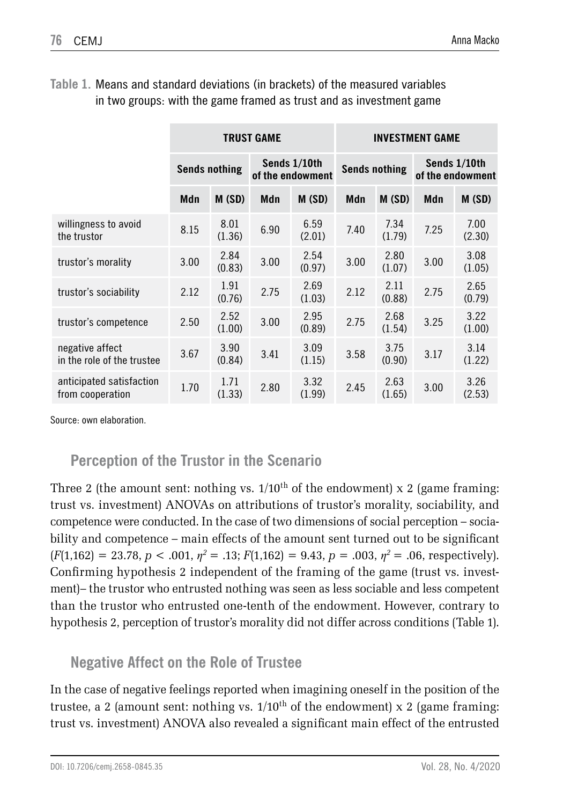|                                               | <b>TRUST GAME</b>    |                |                                  |                | <b>INVESTMENT GAME</b> |                |                                  |                |
|-----------------------------------------------|----------------------|----------------|----------------------------------|----------------|------------------------|----------------|----------------------------------|----------------|
|                                               | <b>Sends nothing</b> |                | Sends 1/10th<br>of the endowment |                | <b>Sends nothing</b>   |                | Sends 1/10th<br>of the endowment |                |
|                                               | Mdn                  | M(SD)          | Mdn                              | M(SD)          | Mdn                    | M (SD)         | Mdn                              | M (SD)         |
| willingness to avoid<br>the trustor           | 8.15                 | 8.01<br>(1.36) | 6.90                             | 6.59<br>(2.01) | 7.40                   | 7.34<br>(1.79) | 7.25                             | 7.00<br>(2.30) |
| trustor's morality                            | 3.00                 | 2.84<br>(0.83) | 3.00                             | 2.54<br>(0.97) | 3.00                   | 2.80<br>(1.07) | 3.00                             | 3.08<br>(1.05) |
| trustor's sociability                         | 2.12                 | 1.91<br>(0.76) | 2.75                             | 2.69<br>(1.03) | 2.12                   | 2.11<br>(0.88) | 2.75                             | 2.65<br>(0.79) |
| trustor's competence                          | 2.50                 | 2.52<br>(1.00) | 3.00                             | 2.95<br>(0.89) | 2.75                   | 2.68<br>(1.54) | 3.25                             | 3.22<br>(1.00) |
| negative affect<br>in the role of the trustee | 3.67                 | 3.90<br>(0.84) | 3.41                             | 3.09<br>(1.15) | 3.58                   | 3.75<br>(0.90) | 3.17                             | 3.14<br>(1.22) |
| anticipated satisfaction<br>from cooperation  | 1.70                 | 1.71<br>(1.33) | 2.80                             | 3.32<br>(1.99) | 2.45                   | 2.63<br>(1.65) | 3.00                             | 3.26<br>(2.53) |

**Table 1.** Means and standard deviations (in brackets) of the measured variables in two groups: with the game framed as trust and as investment game

Source: own elaboration.

### **Perception of the Trustor in the Scenario**

Three 2 (the amount sent: nothing vs.  $1/10^{th}$  of the endowment) x 2 (game framing: trust vs. investment) ANOVAs on attributions of trustor's morality, sociability, and competence were conducted. In the case of two dimensions of social perception – sociability and competence – main effects of the amount sent turned out to be significant  $(F(1,162) = 23.78, p < .001, \eta^2 = .13; F(1,162) = 9.43, p = .003, \eta^2 = .06$ , respectively). Confirming hypothesis 2 independent of the framing of the game (trust vs. investment)– the trustor who entrusted nothing was seen as less sociable and less competent than the trustor who entrusted one-tenth of the endowment. However, contrary to hypothesis 2, perception of trustor's morality did not differ across conditions (Table 1).

### **Negative Affect on the Role of Trustee**

In the case of negative feelings reported when imagining oneself in the position of the trustee, a 2 (amount sent: nothing vs.  $1/10<sup>th</sup>$  of the endowment) x 2 (game framing: trust vs. investment) ANOVA also revealed a significant main effect of the entrusted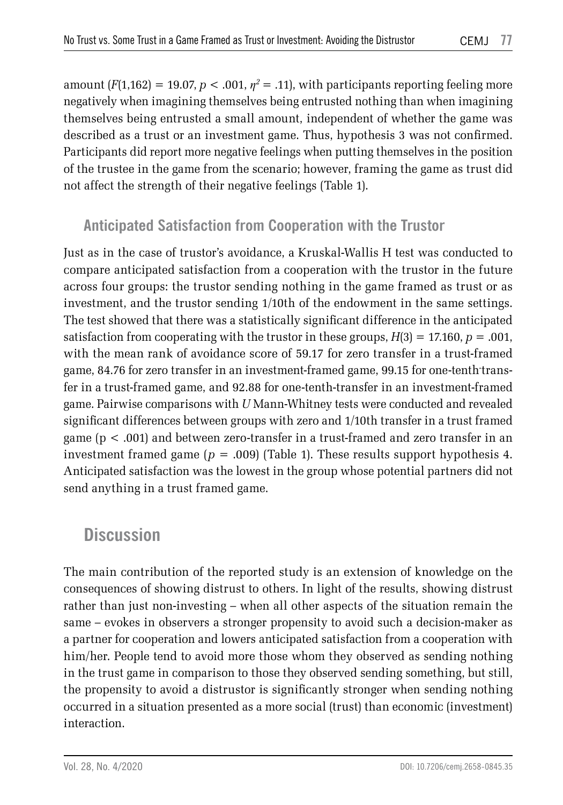amount  $(F(1,162) = 19.07, p < .001, \eta^2 = .11)$ , with participants reporting feeling more negatively when imagining themselves being entrusted nothing than when imagining themselves being entrusted a small amount, independent of whether the game was described as a trust or an investment game. Thus, hypothesis 3 was not confirmed. Participants did report more negative feelings when putting themselves in the position of the trustee in the game from the scenario; however, framing the game as trust did not affect the strength of their negative feelings (Table 1).

### **Anticipated Satisfaction from Cooperation with the Trustor**

Just as in the case of trustor's avoidance, a Kruskal-Wallis H test was conducted to compare anticipated satisfaction from a cooperation with the trustor in the future across four groups: the trustor sending nothing in the game framed as trust or as investment, and the trustor sending 1/10th of the endowment in the same settings. The test showed that there was a statistically significant difference in the anticipated satisfaction from cooperating with the trustor in these groups,  $H(3) = 17.160$ ,  $p = .001$ , with the mean rank of avoidance score of 59.17 for zero transfer in a trust-framed game, 84.76 for zero transfer in an investment-framed game, 99.15 for one-tenth-transfer in a trust-framed game, and 92.88 for one-tenth-transfer in an investment-framed game. Pairwise comparisons with *U* Mann-Whitney tests were conducted and revealed significant differences between groups with zero and 1/10th transfer in a trust framed game (p < .001) and between zero-transfer in a trust-framed and zero transfer in an investment framed game ( $p = .009$ ) (Table 1). These results support hypothesis 4. Anticipated satisfaction was the lowest in the group whose potential partners did not send anything in a trust framed game.

### **Discussion**

The main contribution of the reported study is an extension of knowledge on the consequences of showing distrust to others. In light of the results, showing distrust rather than just non-investing – when all other aspects of the situation remain the same – evokes in observers a stronger propensity to avoid such a decision-maker as a partner for cooperation and lowers anticipated satisfaction from a cooperation with him/her. People tend to avoid more those whom they observed as sending nothing in the trust game in comparison to those they observed sending something, but still, the propensity to avoid a distrustor is significantly stronger when sending nothing occurred in a situation presented as a more social (trust) than economic (investment) interaction.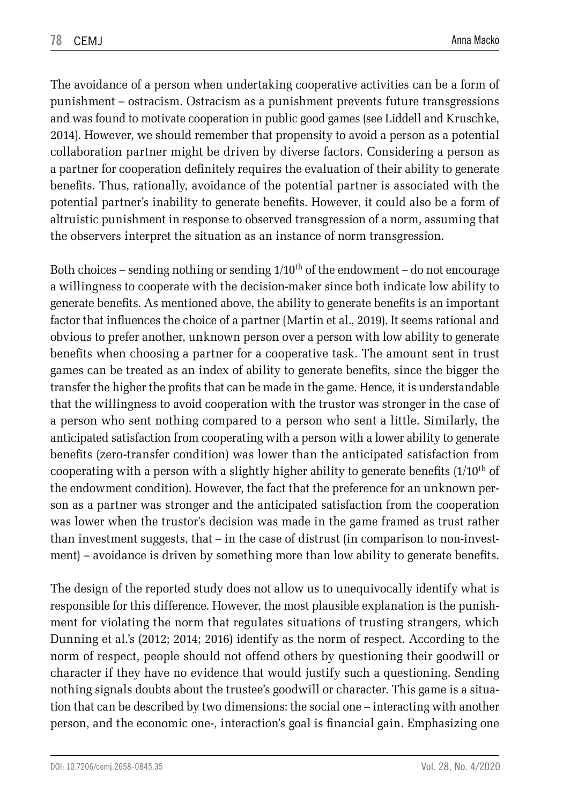The avoidance of a person when undertaking cooperative activities can be a form of punishment – ostracism. Ostracism as a punishment prevents future transgressions and was found to motivate cooperation in public good games (see Liddell and Kruschke, 2014). However, we should remember that propensity to avoid a person as a potential collaboration partner might be driven by diverse factors. Considering a person as a partner for cooperation definitely requires the evaluation of their ability to generate benefits. Thus, rationally, avoidance of the potential partner is associated with the potential partner's inability to generate benefits. However, it could also be a form of altruistic punishment in response to observed transgression of a norm, assuming that the observers interpret the situation as an instance of norm transgression.

Both choices – sending nothing or sending  $1/10<sup>th</sup>$  of the endowment – do not encourage a willingness to cooperate with the decision-maker since both indicate low ability to generate benefits. As mentioned above, the ability to generate benefits is an important factor that influences the choice of a partner (Martin et al., 2019). It seems rational and obvious to prefer another, unknown person over a person with low ability to generate benefits when choosing a partner for a cooperative task. The amount sent in trust games can be treated as an index of ability to generate benefits, since the bigger the transfer the higher the profits that can be made in the game. Hence, it is understandable that the willingness to avoid cooperation with the trustor was stronger in the case of a person who sent nothing compared to a person who sent a little. Similarly, the anticipated satisfaction from cooperating with a person with a lower ability to generate benefits (zero-transfer condition) was lower than the anticipated satisfaction from cooperating with a person with a slightly higher ability to generate benefits  $(1/10<sup>th</sup>$  of the endowment condition). However, the fact that the preference for an unknown person as a partner was stronger and the anticipated satisfaction from the cooperation was lower when the trustor's decision was made in the game framed as trust rather than investment suggests, that – in the case of distrust (in comparison to non-investment) – avoidance is driven by something more than low ability to generate benefits.

The design of the reported study does not allow us to unequivocally identify what is responsible for this difference. However, the most plausible explanation is the punishment for violating the norm that regulates situations of trusting strangers, which Dunning et al.'s (2012; 2014; 2016) identify as the norm of respect. According to the norm of respect, people should not offend others by questioning their goodwill or character if they have no evidence that would justify such a questioning. Sending nothing signals doubts about the trustee's goodwill or character. This game is a situation that can be described by two dimensions: the social one – interacting with another person, and the economic one-, interaction's goal is financial gain. Emphasizing one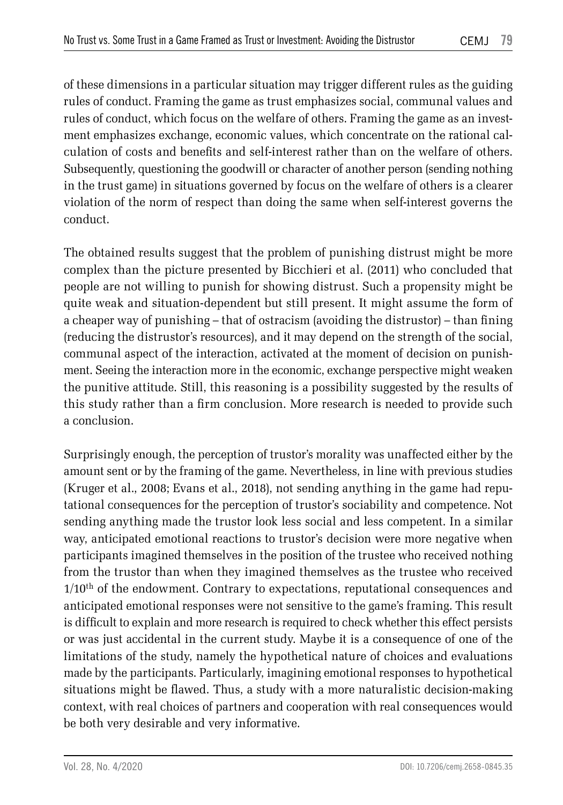of these dimensions in a particular situation may trigger different rules as the guiding rules of conduct. Framing the game as trust emphasizes social, communal values and rules of conduct, which focus on the welfare of others. Framing the game as an investment emphasizes exchange, economic values, which concentrate on the rational calculation of costs and benefits and self-interest rather than on the welfare of others. Subsequently, questioning the goodwill or character of another person (sending nothing in the trust game) in situations governed by focus on the welfare of others is a clearer violation of the norm of respect than doing the same when self-interest governs the conduct.

The obtained results suggest that the problem of punishing distrust might be more complex than the picture presented by Bicchieri et al. (2011) who concluded that people are not willing to punish for showing distrust. Such a propensity might be quite weak and situation-dependent but still present. It might assume the form of a cheaper way of punishing – that of ostracism (avoiding the distrustor) – than fining (reducing the distrustor's resources), and it may depend on the strength of the social, communal aspect of the interaction, activated at the moment of decision on punishment. Seeing the interaction more in the economic, exchange perspective might weaken the punitive attitude. Still, this reasoning is a possibility suggested by the results of this study rather than a firm conclusion. More research is needed to provide such a conclusion.

Surprisingly enough, the perception of trustor's morality was unaffected either by the amount sent or by the framing of the game. Nevertheless, in line with previous studies (Kruger et al., 2008; Evans et al., 2018), not sending anything in the game had reputational consequences for the perception of trustor's sociability and competence. Not sending anything made the trustor look less social and less competent. In a similar way, anticipated emotional reactions to trustor's decision were more negative when participants imagined themselves in the position of the trustee who received nothing from the trustor than when they imagined themselves as the trustee who received  $1/10^{\rm th}$  of the endowment. Contrary to expectations, reputational consequences and anticipated emotional responses were not sensitive to the game's framing. This result is difficult to explain and more research is required to check whether this effect persists or was just accidental in the current study. Maybe it is a consequence of one of the limitations of the study, namely the hypothetical nature of choices and evaluations made by the participants. Particularly, imagining emotional responses to hypothetical situations might be flawed. Thus, a study with a more naturalistic decision-making context, with real choices of partners and cooperation with real consequences would be both very desirable and very informative.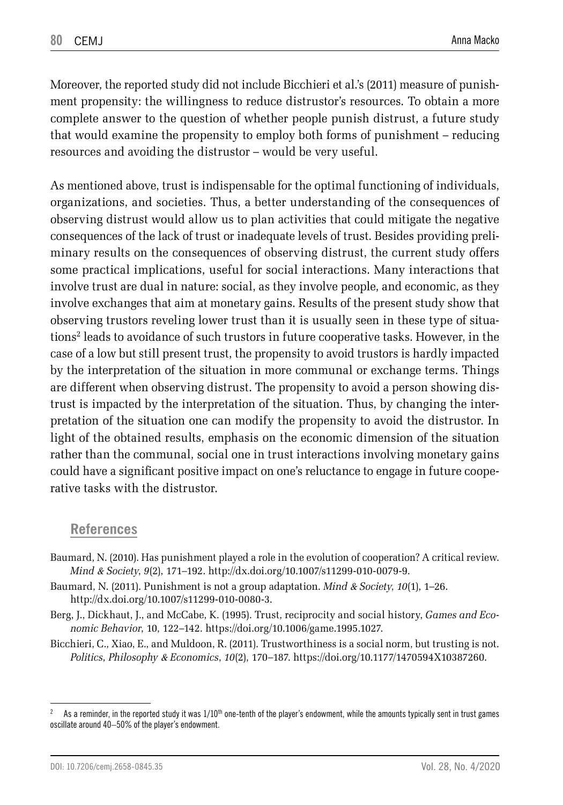Moreover, the reported study did not include Bicchieri et al.'s (2011) measure of punishment propensity: the willingness to reduce distrustor's resources. To obtain a more complete answer to the question of whether people punish distrust, a future study that would examine the propensity to employ both forms of punishment – reducing resources and avoiding the distrustor – would be very useful.

As mentioned above, trust is indispensable for the optimal functioning of individuals, organizations, and societies. Thus, a better understanding of the consequences of observing distrust would allow us to plan activities that could mitigate the negative consequences of the lack of trust or inadequate levels of trust. Besides providing preliminary results on the consequences of observing distrust, the current study offers some practical implications, useful for social interactions. Many interactions that involve trust are dual in nature: social, as they involve people, and economic, as they involve exchanges that aim at monetary gains. Results of the present study show that observing trustors reveling lower trust than it is usually seen in these type of situations2 leads to avoidance of such trustors in future cooperative tasks. However, in the case of a low but still present trust, the propensity to avoid trustors is hardly impacted by the interpretation of the situation in more communal or exchange terms. Things are different when observing distrust. The propensity to avoid a person showing distrust is impacted by the interpretation of the situation. Thus, by changing the interpretation of the situation one can modify the propensity to avoid the distrustor. In light of the obtained results, emphasis on the economic dimension of the situation rather than the communal, social one in trust interactions involving monetary gains could have a significant positive impact on one's reluctance to engage in future cooperative tasks with the distrustor.

### **References**

- Baumard, N. (2010). Has punishment played a role in the evolution of cooperation? A critical review. *Mind* & *Society*, *9*(2), 171–192. http://dx.doi.org/10.1007/s11299-010-0079-9.
- Baumard, N. (2011). Punishment is not a group adaptation. *Mind* & *Society*, *10*(1), 1–26. http://dx.doi.org/10.1007/s11299-010-0080-3.
- Berg, J., Dickhaut, J., and McCabe, K. (1995). Trust, reciprocity and social history, *Games and Economic Behavior*, 10, 122–142. https://doi.org/10.1006/game.1995.1027.
- Bicchieri, C., Xiao, E., and Muldoon, R. (2011). Trustworthiness is a social norm, but trusting is not. *Politics, Philosophy* & *Economics*, *10*(2), 170–187. https://doi.org/10.1177/1470594X10387260.

<sup>&</sup>lt;sup>2</sup> As a reminder, in the reported study it was  $1/10<sup>th</sup>$  one-tenth of the player's endowment, while the amounts typically sent in trust games oscillate around 40–50% of the player's endowment.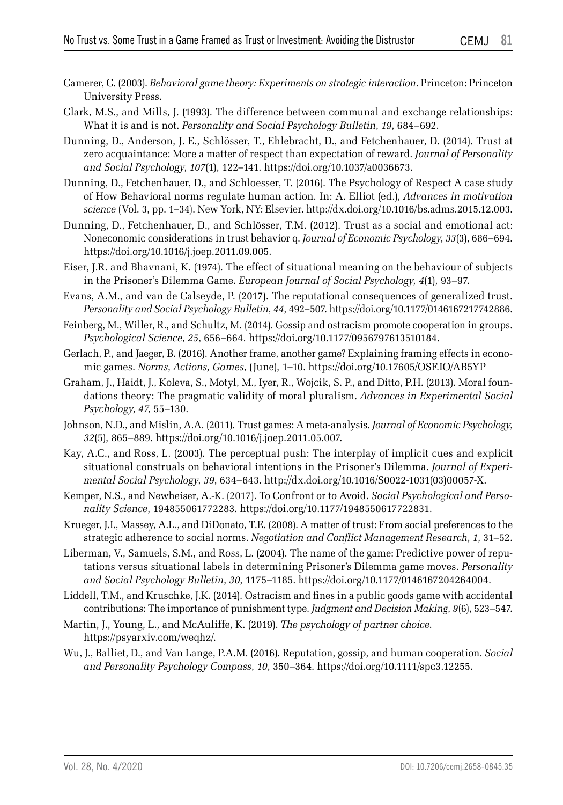- Camerer, C. (2003). *Behavioral game theory: Experiments on strategic interaction*. Princeton: Princeton University Press.
- Clark, M.S., and Mills, J. (1993). The difference between communal and exchange relationships: What it is and is not. *Personality and Social Psychology Bulletin*, *19*, 684–692.
- Dunning, D., Anderson, J. E., Schlösser, T., Ehlebracht, D., and Fetchenhauer, D. (2014). Trust at zero acquaintance: More a matter of respect than expectation of reward. *Journal of Personality and Social Psychology*, *107*(1), 122–141. https://doi.org/10.1037/a0036673.
- Dunning, D., Fetchenhauer, D., and Schloesser, T. (2016). The Psychology of Respect A case study of How Behavioral norms regulate human action. In: A. Elliot (ed.), *Advances in motivation science* (Vol. 3, pp. 1–34). New York, NY: Elsevier. http://dx.doi.org/10.1016/bs.adms.2015.12.003.
- Dunning, D., Fetchenhauer, D., and Schlösser, T.M. (2012). Trust as a social and emotional act: Noneconomic considerations in trust behavior q. *Journal of Economic Psychology*, *33*(3), 686–694. https://doi.org/10.1016/j.joep.2011.09.005.
- Eiser, J.R. and Bhavnani, K. (1974). The effect of situational meaning on the behaviour of subjects in the Prisoner's Dilemma Game. *European Journal of Social Psychology*, *4*(1), 93–97.
- Evans, A.M., and van de Calseyde, P. (2017). The reputational consequences of generalized trust. *Personality and Social Psychology Bulletin*, *44*, 492–507. https://doi.org/10.1177/0146167217742886.
- Feinberg, M., Willer, R., and Schultz, M. (2014). Gossip and ostracism promote cooperation in groups. *Psychological Science*, *25*, 656–664. https://doi.org/10.1177/0956797613510184.
- Gerlach, P., and Jaeger, B. (2016). Another frame, another game? Explaining framing effects in economic games. *Norms, Actions, Games*, (June), 1–10. https://doi.org/10.17605/OSF.IO/AB5YP
- Graham, J., Haidt, J., Koleva, S., Motyl, M., Iyer, R., Wojcik, S. P., and Ditto, P.H. (2013). Moral foundations theory: The pragmatic validity of moral pluralism. *Advances in Experimental Social Psychology*, *47*, 55–130.
- Johnson, N.D., and Mislin, A.A. (2011). Trust games: A meta-analysis. *Journal of Economic Psychology*, *32*(5), 865–889. https://doi.org/10.1016/j.joep.2011.05.007.
- Kay, A.C., and Ross, L. (2003). The perceptual push: The interplay of implicit cues and explicit situational construals on behavioral intentions in the Prisoner's Dilemma. *Journal of Experimental Social Psychology*, *39*, 634–643. http://dx.doi.org/10.1016/S0022-1031(03)00057-X.
- Kemper, N.S., and Newheiser, A.-K. (2017). To Confront or to Avoid. *Social Psychological and Personality Science*, 194855061772283. https://doi.org/10.1177/1948550617722831.
- Krueger, J.I., Massey, A.L., and DiDonato, T.E. (2008). A matter of trust: From social preferences to the strategic adherence to social norms. *Negotiation and Conflict Management Research*, *1*, 31–52.
- Liberman, V., Samuels, S.M., and Ross, L. (2004). The name of the game: Predictive power of reputations versus situational labels in determining Prisoner's Dilemma game moves. *Personality and Social Psychology Bulletin*, *30*, 1175–1185. https://doi.org/10.1177/0146167204264004.
- Liddell, T.M., and Kruschke, J.K. (2014). Ostracism and fines in a public goods game with accidental contributions: The importance of punishment type. *Judgment and Decision Making*, *9*(6), 523–547.
- Martin, J., Young, L., and McAuliffe, K. (2019). *The psychology of partner choice*. https://psyarxiv.com/weqhz/.
- Wu, J., Balliet, D., and Van Lange, P.A.M. (2016). Reputation, gossip, and human cooperation. *Social and Personality Psychology Compass*, *10*, 350–364. https://doi.org/10.1111/spc3.12255.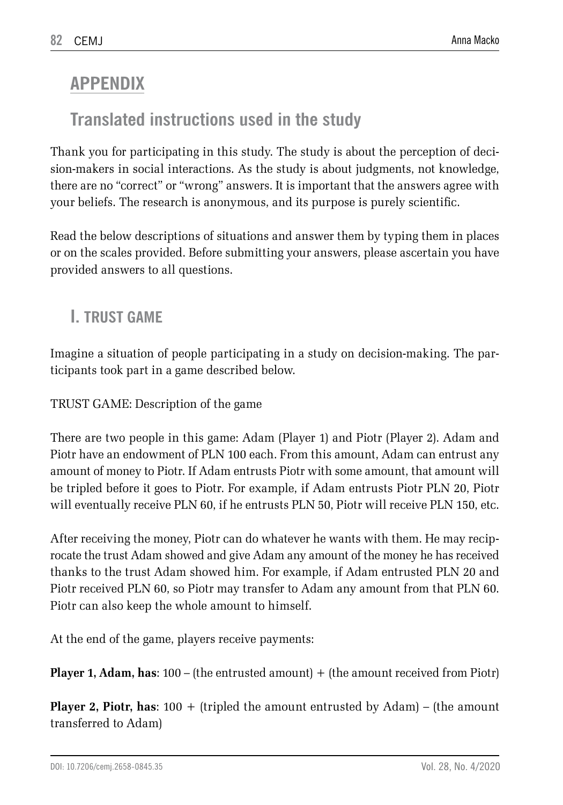# **APPENDIX**

# **Translated instructions used in the study**

Thank you for participating in this study. The study is about the perception of decision-makers in social interactions. As the study is about judgments, not knowledge, there are no "correct" or "wrong" answers. It is important that the answers agree with your beliefs. The research is anonymous, and its purpose is purely scientific.

Read the below descriptions of situations and answer them by typing them in places or on the scales provided. Before submitting your answers, please ascertain you have provided answers to all questions.

# **I. TRUST GAME**

Imagine a situation of people participating in a study on decision-making. The participants took part in a game described below.

TRUST GAME: Description of the game

There are two people in this game: Adam (Player 1) and Piotr (Player 2). Adam and Piotr have an endowment of PLN 100 each. From this amount, Adam can entrust any amount of money to Piotr. If Adam entrusts Piotr with some amount, that amount will be tripled before it goes to Piotr. For example, if Adam entrusts Piotr PLN 20, Piotr will eventually receive PLN 60, if he entrusts PLN 50, Piotr will receive PLN 150, etc.

After receiving the money, Piotr can do whatever he wants with them. He may reciprocate the trust Adam showed and give Adam any amount of the money he has received thanks to the trust Adam showed him. For example, if Adam entrusted PLN 20 and Piotr received PLN 60, so Piotr may transfer to Adam any amount from that PLN 60. Piotr can also keep the whole amount to himself.

At the end of the game, players receive payments:

**Player 1, Adam, has:** 100 – (the entrusted amount) + (the amount received from Piotr)

**Player 2, Piotr, has**: 100 + (tripled the amount entrusted by Adam) – (the amount transferred to Adam)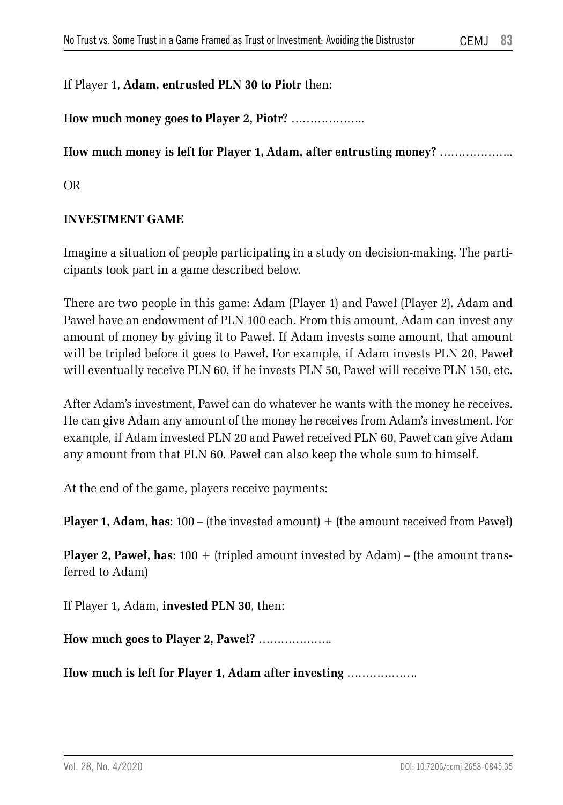#### If Player 1, **Adam, entrusted PLN 30 to Piotr** then:

**How much money goes to Player 2, Piotr?** ………………..

#### **How much money is left for Player 1, Adam, after entrusting money?** ………………..

OR

#### **INVESTMENT GAME**

Imagine a situation of people participating in a study on decision-making. The participants took part in a game described below.

There are two people in this game: Adam (Player 1) and Paweł (Player 2). Adam and Paweł have an endowment of PLN 100 each. From this amount, Adam can invest any amount of money by giving it to Paweł. If Adam invests some amount, that amount will be tripled before it goes to Paweł. For example, if Adam invests PLN 20, Paweł will eventually receive PLN 60, if he invests PLN 50, Paweł will receive PLN 150, etc.

After Adam's investment, Paweł can do whatever he wants with the money he receives. He can give Adam any amount of the money he receives from Adam's investment. For example, if Adam invested PLN 20 and Paweł received PLN 60, Paweł can give Adam any amount from that PLN 60. Paweł can also keep the whole sum to himself.

At the end of the game, players receive payments:

**Player 1, Adam, has**: 100 – (the invested amount) + (the amount received from Paweł)

**Player 2, Paweł, has**: 100 + (tripled amount invested by Adam) – (the amount transferred to Adam)

If Player 1, Adam, **invested PLN 30**, then:

**How much goes to Player 2, Paweł?** ………………..

**How much is left for Player 1, Adam after investing** ……………….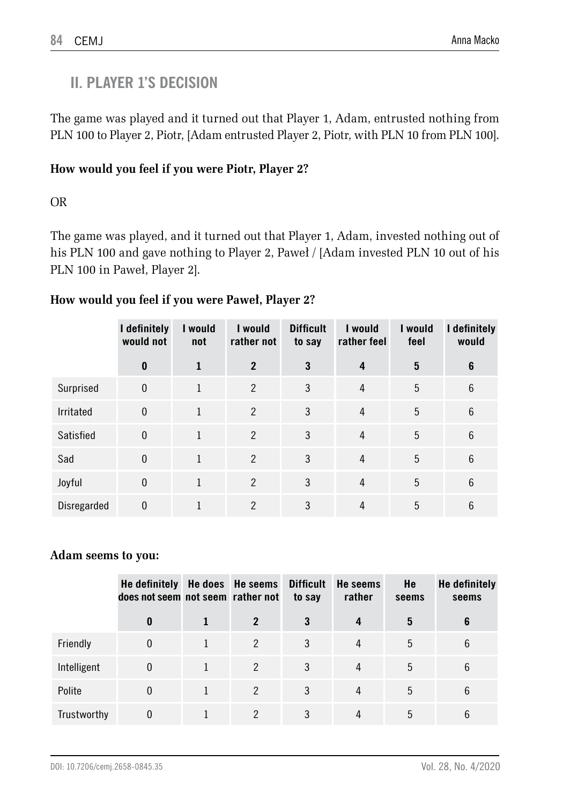### **II. PLAYER 1'S DECISION**

The game was played and it turned out that Player 1, Adam, entrusted nothing from PLN 100 to Player 2, Piotr, [Adam entrusted Player 2, Piotr, with PLN 10 from PLN 100].

### **How would you feel if you were Piotr, Player 2?**

OR

The game was played, and it turned out that Player 1, Adam, invested nothing out of his PLN 100 and gave nothing to Player 2, Paweł / [Adam invested PLN 10 out of his PLN 100 in Paweł, Player 2].

|             | I definitely<br>would not | I would<br>not | I would<br>rather not | <b>Difficult</b><br>to say | I would<br>rather feel | I would<br>feel | I definitely<br>would |
|-------------|---------------------------|----------------|-----------------------|----------------------------|------------------------|-----------------|-----------------------|
|             | $\bf{0}$                  | 1              | $\overline{2}$        | 3                          | 4                      | 5               | 6                     |
| Surprised   | $\theta$                  | $\mathbf{1}$   | $\overline{2}$        | 3                          | 4                      | 5               | 6                     |
| Irritated   | $\theta$                  | $\mathbf{1}$   | 2                     | 3                          | $\overline{4}$         | 5               | 6                     |
| Satisfied   | $\theta$                  | $\mathbf{1}$   | 2                     | 3                          | $\overline{4}$         | 5               | 6                     |
| Sad         | $\Omega$                  | $\mathbf{1}$   | $\mathcal{P}$         | 3                          | $\overline{4}$         | 5               | 6                     |
| Joyful      | $\theta$                  | 1              | $\mathfrak{p}$        | 3                          | 4                      | 5               | 6                     |
| Disregarded | $\theta$                  |                | $\overline{2}$        | 3                          | 4                      | 5               | 6                     |

### **How would you feel if you were Paweł, Player 2?**

### **Adam seems to you:**

|             | He definitely He does He seems Difficult<br>does not seem not seem rather not |                | to say | He seems<br>rather | He<br>seems | <b>He definitely</b><br>seems |
|-------------|-------------------------------------------------------------------------------|----------------|--------|--------------------|-------------|-------------------------------|
|             | 0                                                                             |                | 3      | 4                  | 5           | 6                             |
| Friendly    | 0                                                                             | $\mathcal{P}$  | 3      | 4                  | 5           | 6                             |
| Intelligent | 0                                                                             | $\mathfrak{p}$ | 3      | 4                  | 5           | 6                             |
| Polite      | 0                                                                             | $\mathcal{P}$  | 3      | 4                  | 5           | 6                             |
| Trustworthy | 0                                                                             | 2              | 3      | 4                  | 5           | 6                             |